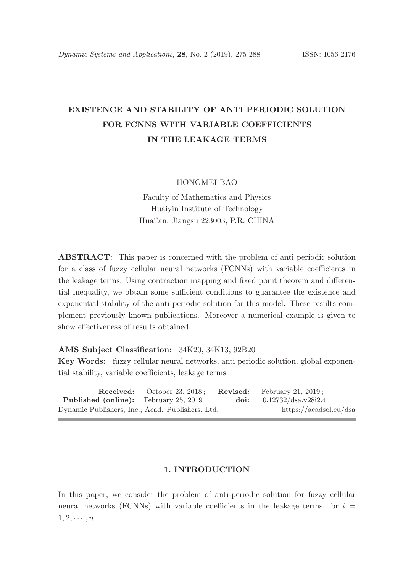# EXISTENCE AND STABILITY OF ANTI PERIODIC SOLUTION FOR FCNNS WITH VARIABLE COEFFICIENTS IN THE LEAKAGE TERMS

#### HONGMEI BAO

Faculty of Mathematics and Physics Huaiyin Institute of Technology Huai'an, Jiangsu 223003, P.R. CHINA

ABSTRACT: This paper is concerned with the problem of anti periodic solution for a class of fuzzy cellular neural networks (FCNNs) with variable coefficients in the leakage terms. Using contraction mapping and fixed point theorem and differential inequality, we obtain some sufficient conditions to guarantee the existence and exponential stability of the anti periodic solution for this model. These results complement previously known publications. Moreover a numerical example is given to show effectiveness of results obtained.

#### AMS Subject Classification: 34K20, 34K13, 92B20

Key Words: fuzzy cellular neural networks, anti periodic solution, global exponential stability, variable coefficients, leakage terms

|                                                  | <b>Received:</b> October 23, 2018: | <b>Revised:</b> February 21, 2019; |
|--------------------------------------------------|------------------------------------|------------------------------------|
| <b>Published (online):</b> February 25, 2019     |                                    | doi: $10.12732/dsa.v28i2.4$        |
| Dynamic Publishers, Inc., Acad. Publishers, Ltd. |                                    | https://acadsol.eu/dsa             |

### 1. INTRODUCTION

In this paper, we consider the problem of anti-periodic solution for fuzzy cellular neural networks (FCNNs) with variable coefficients in the leakage terms, for  $i =$  $1, 2, \cdots, n$ ,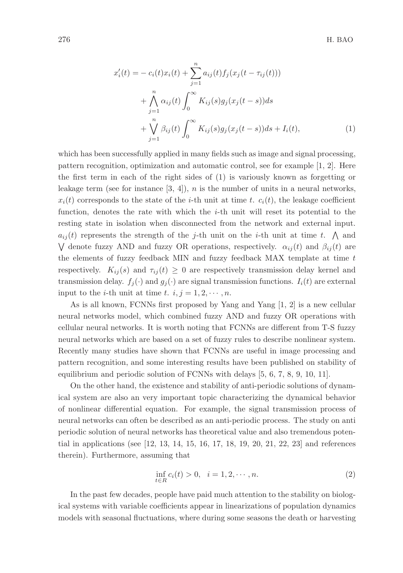$$
x'_{i}(t) = -c_{i}(t)x_{i}(t) + \sum_{j=1}^{n} a_{ij}(t)f_{j}(x_{j}(t - \tau_{ij}(t)))
$$
  
+ 
$$
\bigwedge_{j=1}^{n} \alpha_{ij}(t) \int_{0}^{\infty} K_{ij}(s)g_{j}(x_{j}(t - s))ds
$$
  
+ 
$$
\bigvee_{j=1}^{n} \beta_{ij}(t) \int_{0}^{\infty} K_{ij}(s)g_{j}(x_{j}(t - s))ds + I_{i}(t),
$$
 (1)

which has been successfully applied in many fields such as image and signal processing, pattern recognition, optimization and automatic control, see for example [1, 2]. Here the first term in each of the right sides of (1) is variously known as forgetting or leakage term (see for instance  $[3, 4]$ ), n is the number of units in a neural networks,  $x_i(t)$  corresponds to the state of the *i*-th unit at time t.  $c_i(t)$ , the leakage coefficient function, denotes the rate with which the i-th unit will reset its potential to the resting state in isolation when disconnected from the network and external input.  $a_{ij}(t)$  represents the strength of the j-th unit on the *i*-th unit at time t.  $\bigwedge$  and V denote fuzzy AND and fuzzy OR operations, respectively.  $\alpha_{ij}(t)$  and  $\beta_{ij}(t)$  are the elements of fuzzy feedback MIN and fuzzy feedback MAX template at time t respectively.  $K_{ij}(s)$  and  $\tau_{ij}(t) \geq 0$  are respectively transmission delay kernel and transmission delay.  $f_i(\cdot)$  and  $g_i(\cdot)$  are signal transmission functions.  $I_i(t)$  are external input to the *i*-th unit at time t.  $i, j = 1, 2, \dots, n$ .

As is all known, FCNNs first proposed by Yang and Yang [1, 2] is a new cellular neural networks model, which combined fuzzy AND and fuzzy OR operations with cellular neural networks. It is worth noting that FCNNs are different from T-S fuzzy neural networks which are based on a set of fuzzy rules to describe nonlinear system. Recently many studies have shown that FCNNs are useful in image processing and pattern recognition, and some interesting results have been published on stability of equilibrium and periodic solution of FCNNs with delays [5, 6, 7, 8, 9, 10, 11].

On the other hand, the existence and stability of anti-periodic solutions of dynamical system are also an very important topic characterizing the dynamical behavior of nonlinear differential equation. For example, the signal transmission process of neural networks can often be described as an anti-periodic process. The study on anti periodic solution of neural networks has theoretical value and also tremendous potential in applications (see [12, 13, 14, 15, 16, 17, 18, 19, 20, 21, 22, 23] and references therein). Furthermore, assuming that

$$
\inf_{t \in R} c_i(t) > 0, \quad i = 1, 2, \cdots, n.
$$
 (2)

In the past few decades, people have paid much attention to the stability on biological systems with variable coefficients appear in linearizations of population dynamics models with seasonal fluctuations, where during some seasons the death or harvesting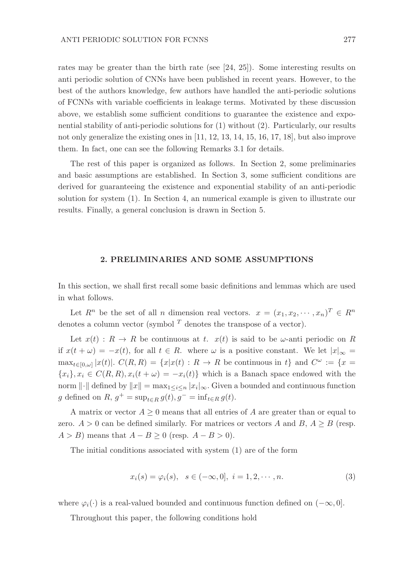rates may be greater than the birth rate (see [24, 25]). Some interesting results on anti periodic solution of CNNs have been published in recent years. However, to the best of the authors knowledge, few authors have handled the anti-periodic solutions of FCNNs with variable coefficients in leakage terms. Motivated by these discussion above, we establish some sufficient conditions to guarantee the existence and exponential stability of anti-periodic solutions for (1) without (2). Particularly, our results not only generalize the existing ones in [11, 12, 13, 14, 15, 16, 17, 18], but also improve them. In fact, one can see the following Remarks 3.1 for details.

The rest of this paper is organized as follows. In Section 2, some preliminaries and basic assumptions are established. In Section 3, some sufficient conditions are derived for guaranteeing the existence and exponential stability of an anti-periodic solution for system (1). In Section 4, an numerical example is given to illustrate our results. Finally, a general conclusion is drawn in Section 5.

### 2. PRELIMINARIES AND SOME ASSUMPTIONS

In this section, we shall first recall some basic definitions and lemmas which are used in what follows.

Let  $R^n$  be the set of all n dimension real vectors.  $x = (x_1, x_2, \dots, x_n)^T \in R^n$ denotes a column vector (symbol  $<sup>T</sup>$  denotes the transpose of a vector).</sup>

Let  $x(t)$ :  $R \to R$  be continuous at t.  $x(t)$  is said to be  $\omega$ -anti periodic on R if  $x(t + \omega) = -x(t)$ , for all  $t \in R$ . where  $\omega$  is a positive constant. We let  $|x|_{\infty} =$  $\max_{t\in[0,\omega]}|x(t)|.$   $C(R,R) = \{x|x(t): R\rightarrow R \text{ be continuous in } t\}$  and  $C^{\omega} := \{x=$  ${x_i}, x_i \in C(R, R), x_i(t + \omega) = -x_i(t)$  which is a Banach space endowed with the norm  $\|\cdot\|$  defined by  $\|x\| = \max_{1 \leq i \leq n} |x_i|_{\infty}$ . Given a bounded and continuous function g defined on  $R$ ,  $g^+ = \sup_{t \in R} g(t)$ ,  $g^- = \inf_{t \in R} g(t)$ .

A matrix or vector  $A \geq 0$  means that all entries of A are greater than or equal to zero.  $A > 0$  can be defined similarly. For matrices or vectors A and B,  $A \geq B$  (resp.  $A > B$ ) means that  $A - B \ge 0$  (resp.  $A - B > 0$ ).

The initial conditions associated with system (1) are of the form

$$
x_i(s) = \varphi_i(s), \quad s \in (-\infty, 0], \quad i = 1, 2, \cdots, n.
$$
 (3)

where  $\varphi_i(\cdot)$  is a real-valued bounded and continuous function defined on  $(-\infty, 0]$ .

Throughout this paper, the following conditions hold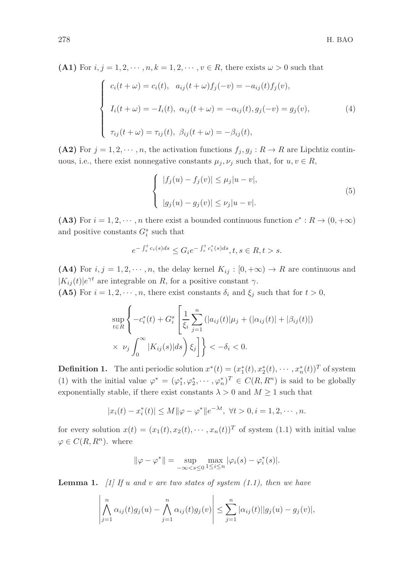(A1) For  $i, j = 1, 2, \dots, n, k = 1, 2, \dots, v \in R$ , there exists  $\omega > 0$  such that

$$
\begin{cases}\nc_i(t+\omega) = c_i(t), \quad a_{ij}(t+\omega)f_j(-v) = -a_{ij}(t)f_j(v), \\
I_i(t+\omega) = -I_i(t), \quad \alpha_{ij}(t+\omega) = -\alpha_{ij}(t), g_j(-v) = g_j(v), \\
\tau_{ij}(t+\omega) = \tau_{ij}(t), \quad \beta_{ij}(t+\omega) = -\beta_{ij}(t),\n\end{cases} \tag{4}
$$

(A2) For  $j = 1, 2, \dots, n$ , the activation functions  $f_j, g_j : R \to R$  are Lipchtiz continuous, i.e., there exist nonnegative constants  $\mu_j, \nu_j$  such that, for  $u, v \in R$ ,

$$
\begin{cases} |f_j(u) - f_j(v)| \leq \mu_j |u - v|, \\ |g_j(u) - g_j(v)| \leq \nu_j |u - v|. \end{cases}
$$
\n
$$
(5)
$$

(A3) For  $i = 1, 2, \dots, n$  there exist a bounded continuous function  $c^* : R \to (0, +\infty)$ and positive constants  $G_i^s$  such that

$$
e^{-\int_s^t c_i(s)ds} \le G_i e^{-\int_s^t c_i^*(s)ds}, t, s \in R, t > s.
$$

(A4) For  $i, j = 1, 2, \dots, n$ , the delay kernel  $K_{ij} : [0, +\infty) \to R$  are continuous and  $|K_{ij}(t)|e^{\gamma t}$  are integrable on R, for a positive constant  $\gamma$ .

(A5) For  $i = 1, 2, \dots, n$ , there exist constants  $\delta_i$  and  $\xi_j$  such that for  $t > 0$ ,

$$
\sup_{t \in R} \left\{ -c_i^*(t) + G_i^s \left[ \frac{1}{\xi_i} \sum_{j=1}^n (|a_{ij}(t)|\mu_j + (|\alpha_{ij}(t)| + |\beta_{ij}(t)|) \right] \times \nu_j \int_0^\infty |K_{ij}(s)| ds \right\} \xi_j \right\} < -\delta_i < 0.
$$

**Definition 1.** The anti periodic solution  $x^*(t) = (x_1^*(t), x_2^*(t), \dots, x_n^*(t))^T$  of system (1) with the initial value  $\varphi^* = (\varphi_1^*, \varphi_2^*, \cdots, \varphi_n^*)^T \in C(R, R^n)$  is said to be globally exponentially stable, if there exist constants  $\lambda > 0$  and  $M \ge 1$  such that

$$
|x_i(t) - x_i^*(t)| \le M \|\varphi - \varphi^*\| e^{-\lambda t}, \ \forall t > 0, i = 1, 2, \cdots, n.
$$

for every solution  $x(t) = (x_1(t), x_2(t), \cdots, x_n(t))^T$  of system (1.1) with initial value  $\varphi \in C(R, R^n)$ . where

$$
\|\varphi - \varphi^*\| = \sup_{-\infty < s \leq 0} \max_{1 \leq i \leq n} |\varphi_i(s) - \varphi_i^*(s)|.
$$

**Lemma 1.** [1] If u and v are two states of system  $(1.1)$ , then we have

$$
\left|\bigwedge_{j=1}^n \alpha_{ij}(t)g_j(u) - \bigwedge_{j=1}^n \alpha_{ij}(t)g_j(v)\right| \leq \sum_{j=1}^n |\alpha_{ij}(t)||g_j(u) - g_j(v)|,
$$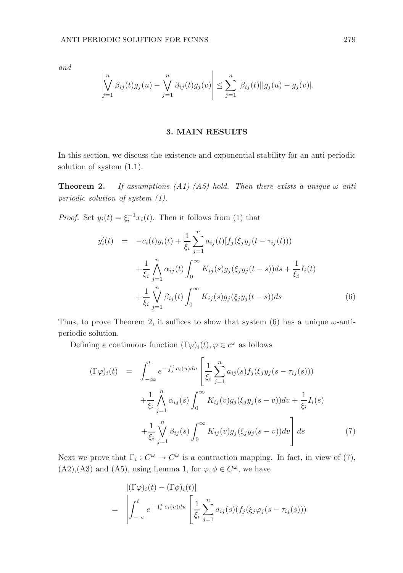and

$$
\left| \bigvee_{j=1}^{n} \beta_{ij}(t) g_j(u) - \bigvee_{j=1}^{n} \beta_{ij}(t) g_j(v) \right| \leq \sum_{j=1}^{n} |\beta_{ij}(t)| |g_j(u) - g_j(v)|.
$$

### 3. MAIN RESULTS

In this section, we discuss the existence and exponential stability for an anti-periodic solution of system (1.1).

**Theorem 2.** If assumptions  $(A1)-(A5)$  hold. Then there exists a unique  $\omega$  anti periodic solution of system (1).

*Proof.* Set  $y_i(t) = \xi_i^{-1} x_i(t)$ . Then it follows from (1) that

$$
y'_{i}(t) = -c_{i}(t)y_{i}(t) + \frac{1}{\xi_{i}} \sum_{j=1}^{n} a_{ij}(t)[f_{j}(\xi_{j}y_{j}(t - \tau_{ij}(t))) + \frac{1}{\xi_{i}} \bigwedge_{j=1}^{n} \alpha_{ij}(t) \int_{0}^{\infty} K_{ij}(s)g_{j}(\xi_{j}y_{j}(t - s))ds + \frac{1}{\xi_{i}} I_{i}(t) + \frac{1}{\xi_{i}} \bigwedge_{j=1}^{n} \beta_{ij}(t) \int_{0}^{\infty} K_{ij}(s)g_{j}(\xi_{j}y_{j}(t - s))ds
$$
(6)

Thus, to prove Theorem 2, it suffices to show that system (6) has a unique  $\omega$ -antiperiodic solution.

Defining a continuous function  $(\Gamma \varphi)_i(t)$ ,  $\varphi \in c^{\omega}$  as follows

$$
(\Gamma \varphi)_i(t) = \int_{-\infty}^t e^{-\int_s^t c_i(u) du} \left[ \frac{1}{\xi_i} \sum_{j=1}^n a_{ij}(s) f_j(\xi_j y_j(s - \tau_{ij}(s))) + \frac{1}{\xi_i} \bigwedge_{j=1}^n \alpha_{ij}(s) \int_0^\infty K_{ij}(v) g_j(\xi_j y_j(s - v)) dv + \frac{1}{\xi_i} I_i(s) + \frac{1}{\xi_i} \bigvee_{j=1}^n \beta_{ij}(s) \int_0^\infty K_{ij}(v) g_j(\xi_j y_j(s - v)) dv \right] ds \tag{7}
$$

Next we prove that  $\Gamma_i: C^{\omega} \to C^{\omega}$  is a contraction mapping. In fact, in view of (7),  $(A2), (A3)$  and  $(A5)$ , using Lemma 1, for  $\varphi, \phi \in C^{\omega}$ , we have

$$
= \left| \begin{aligned} (\Gamma \varphi)_i(t) - (\Gamma \varphi)_i(t) \\ = \left| \int_{-\infty}^t e^{-\int_s^t c_i(u) du} \left[ \frac{1}{\xi_i} \sum_{j=1}^n a_{ij}(s) (f_j(\xi_j \varphi_j(s - \tau_{ij}(s))) \right] \right. \end{aligned} \right.
$$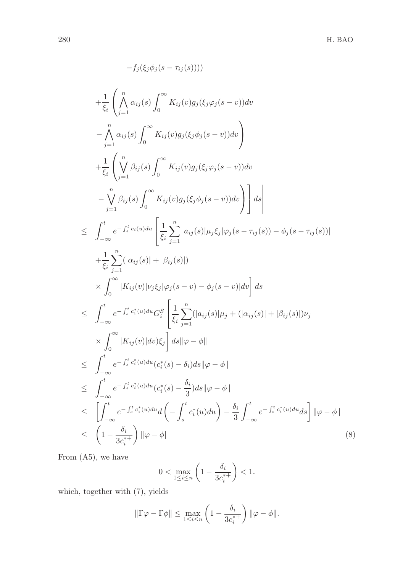$$
-f_j(\xi_j \phi_j(s - \tau_{ij}(s))))
$$
\n
$$
+ \frac{1}{\xi_i} \left( \bigwedge_{j=1}^{n} \alpha_{ij}(s) \int_0^{\infty} K_{ij}(v) g_j(\xi_j \phi_j(s - v)) dv \right)
$$
\n
$$
- \bigwedge_{j=1}^{n} \alpha_{ij}(s) \int_0^{\infty} K_{ij}(v) g_j(\xi_j \phi_j(s - v)) dv \right)
$$
\n
$$
+ \frac{1}{\xi_i} \left( \bigvee_{j=1}^{n} \beta_{ij}(s) \int_0^{\infty} K_{ij}(v) g_j(\xi_j \phi_j(s - v)) dv \right)
$$
\n
$$
- \bigvee_{j=1}^{n} \beta_{ij}(s) \int_0^{\infty} K_{ij}(v) g_j(\xi_j \phi_j(s - v)) dv \right) ds
$$
\n
$$
\leq \int_{-\infty}^t e^{-\int_s^t c_i(u) du} \left[ \frac{1}{\xi_i} \sum_{j=1}^{n} |a_{ij}(s)| \mu_j \xi_j | \varphi_j(s - \tau_{ij}(s)) - \phi_j(s - \tau_{ij}(s))| \right]
$$
\n
$$
+ \frac{1}{\xi_i} \sum_{j=1}^{n} (|\alpha_{ij}(s)| + |\beta_{ij}(s)|)
$$
\n
$$
\times \int_0^{\infty} |K_{ij}(v)| \nu_j \xi_j | \varphi_j(s - v) - \phi_j(s - v)| dv \right] ds
$$
\n
$$
\leq \int_{-\infty}^t e^{-\int_s^t c_i^*(u) du} G_i^S \left[ \frac{1}{\xi_i} \sum_{j=1}^{n} (|a_{ij}(s)| \mu_j + (|\alpha_{ij}(s)| + |\beta_{ij}(s)|) \nu_j \right]
$$
\n
$$
\times \int_0^t |K_{ij}(v)| dv) \xi_j \right] ds ||\varphi - \phi||
$$
\n
$$
\leq \int_{-\infty}^t e^{-\int_s^t c_i^*(u) du} (c_i^*(s) - \delta_i) ds ||\varphi - \phi||
$$
\n
$$
\leq \int_{-\infty}^t e^{-\int_s^t c_i^*(u) du} (c_i^*(s) - \frac{\delta_i}{3}) ds ||\varphi - \phi||
$$
\n
$$
\leq \left[ \int_{-\in
$$

From (A5), we have

$$
0 < \max_{1 \le i \le n} \left( 1 - \frac{\delta_i}{3c_i^{*+}} \right) < 1.
$$

which, together with (7), yields

$$
\|\Gamma\varphi-\Gamma\phi\|\leq \max_{1\leq i\leq n}\left(1-\frac{\delta_i}{3c_i^{*+}}\right)\|\varphi-\phi\|.
$$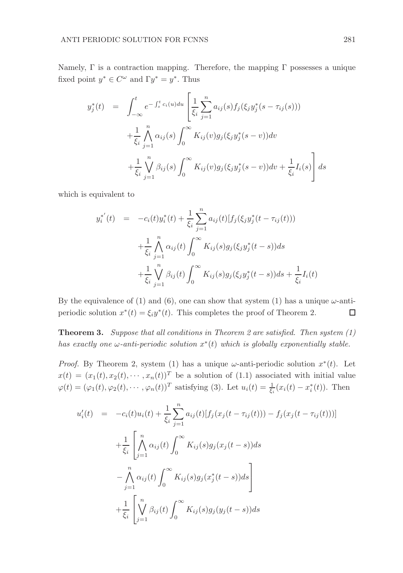Namely,  $\Gamma$  is a contraction mapping. Therefore, the mapping  $\Gamma$  possesses a unique fixed point  $y^* \in C^{\omega}$  and  $\Gamma y^* = y^*$ . Thus

$$
y_j^*(t) = \int_{-\infty}^t e^{-\int_s^t c_i(u) du} \left[ \frac{1}{\xi_i} \sum_{j=1}^n a_{ij}(s) f_j(\xi_j y_j^*(s - \tau_{ij}(s))) + \frac{1}{\xi_i} \bigwedge_{j=1}^n \alpha_{ij}(s) \int_0^\infty K_{ij}(v) g_j(\xi_j y_j^*(s - v)) dv + \frac{1}{\xi_i} \bigvee_{j=1}^n \beta_{ij}(s) \int_0^\infty K_{ij}(v) g_j(\xi_j y_j^*(s - v)) dv + \frac{1}{\xi_i} I_i(s) \right] ds
$$

which is equivalent to

$$
y_i^{*'}(t) = -c_i(t)y_i^*(t) + \frac{1}{\xi_i} \sum_{j=1}^n a_{ij}(t) [f_j(\xi_j y_j^*(t - \tau_{ij}(t)))
$$
  
+ 
$$
\frac{1}{\xi_i} \bigwedge_{j=1}^n \alpha_{ij}(t) \int_0^\infty K_{ij}(s) g_j(\xi_j y_j^*(t - s)) ds
$$
  
+ 
$$
\frac{1}{\xi_i} \bigvee_{j=1}^n \beta_{ij}(t) \int_0^\infty K_{ij}(s) g_j(\xi_j y_j^*(t - s)) ds + \frac{1}{\xi_i} I_i(t)
$$

By the equivalence of (1) and (6), one can show that system (1) has a unique  $\omega$ -antiperiodic solution  $x^*(t) = \xi_i y^*(t)$ . This completes the proof of Theorem 2.  $\Box$ 

**Theorem 3.** Suppose that all conditions in Theorem 2 are satisfied. Then system  $(1)$ has exactly one  $\omega$ -anti-periodic solution  $x^*(t)$  which is globally exponentially stable.

*Proof.* By Theorem 2, system (1) has a unique  $\omega$ -anti-periodic solution  $x^*(t)$ . Let  $x(t) = (x_1(t), x_2(t), \cdots, x_n(t))^T$  be a solution of (1.1) associated with initial value  $\varphi(t) = (\varphi_1(t), \varphi_2(t), \cdots, \varphi_n(t))^T$  satisfying (3). Let  $u_i(t) = \frac{1}{\xi_i}(x_i(t) - x_i^*(t))$ . Then

$$
u'_{i}(t) = -c_{i}(t)u_{i}(t) + \frac{1}{\xi_{i}} \sum_{j=1}^{n} a_{ij}(t)[f_{j}(x_{j}(t - \tau_{ij}(t))) - f_{j}(x_{j}(t - \tau_{ij}(t)))]
$$
  
+ 
$$
\frac{1}{\xi_{i}} \left[ \bigwedge_{j=1}^{n} \alpha_{ij}(t) \int_{0}^{\infty} K_{ij}(s)g_{j}(x_{j}(t - s))ds - \bigwedge_{j=1}^{n} \alpha_{ij}(t) \int_{0}^{\infty} K_{ij}(s)g_{j}(x_{j}^{*}(t - s))ds \right]
$$
  
+ 
$$
\frac{1}{\xi_{i}} \left[ \bigvee_{j=1}^{n} \beta_{ij}(t) \int_{0}^{\infty} K_{ij}(s)g_{j}(y_{j}(t - s))ds \right]
$$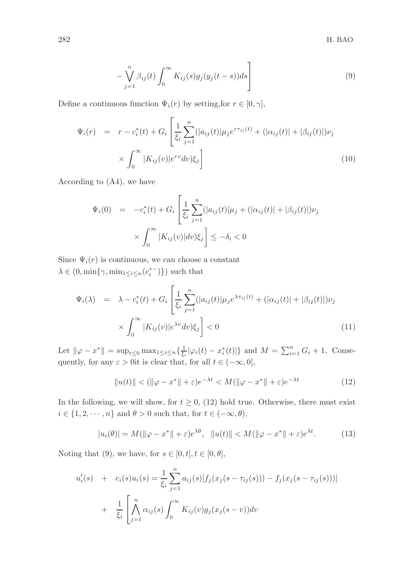$$
-\bigvee_{j=1}^{n} \beta_{ij}(t) \int_{0}^{\infty} K_{ij}(s) g_j(y_j(t-s)) ds\Bigg]
$$
\n(9)

Define a continuous function  $\Psi_i(r)$  by setting, for  $r \in [0, \gamma]$ ,

$$
\Psi_i(r) = r - c_i^*(t) + G_i \left[ \frac{1}{\xi_i} \sum_{j=1}^n (|a_{ij}(t)| \mu_j e^{r \tau_{ij}(t)} + (|\alpha_{ij}(t)| + |\beta_{ij}(t)|) \nu_j \right] \times \int_0^\infty |K_{ij}(v)| e^{rv} dv) \xi_j
$$
\n(10)

According to (A4), we have

$$
\Psi_i(0) = -c_i^*(t) + G_i \left[ \frac{1}{\xi_i} \sum_{j=1}^n (|a_{ij}(t)|\mu_j + (|\alpha_{ij}(t)| + |\beta_{ij}(t)|)\nu_j \times \int_0^\infty |K_{ij}(v)|dv) \xi_j \right] \leq -\delta_i < 0
$$

Since  $\Psi_i(r)$  is continuous, we can choose a constant  $\lambda \in (0, \min\{\gamma, \min_{1 \leq i \leq n} (c_i^{*-})\})$  such that

$$
\Psi_i(\lambda) = \lambda - c_i^*(t) + G_i \left[ \frac{1}{\xi_i} \sum_{j=1}^n (|a_{ij}(t)| \mu_j e^{\lambda \tau_{ij}(t)} + (|\alpha_{ij}(t)| + |\beta_{ij}(t)|) \nu_j \right] \times \int_0^\infty |K_{ij}(v)| e^{\lambda v} dv) \xi_j \right] < 0 \tag{11}
$$

Let  $\|\varphi - x^*\| = \sup_{t \leq 0} \max_{1 \leq i \leq n} {\frac{1}{\xi_i}|\varphi_i(t) - x^*_i(t)|}$  and  $M = \sum_{i=1}^n G_i + 1$ . Consequently, for any  $\varepsilon > 0$ it is clear that, for all  $t \in (-\infty, 0]$ ,

$$
||u(t)|| < (||\varphi - x^*|| + \varepsilon)e^{-\lambda t} < M(||\varphi - x^*|| + \varepsilon)e^{-\lambda t}
$$
 (12)

In the following, we will show, for  $t \geq 0$ , (12) hold true. Otherwise, there must exist  $i \in \{1, 2, \dots, n\}$  and  $\theta > 0$  such that, for  $t \in (-\infty, \theta)$ ,

$$
|u_i(\theta)| = M(||\varphi - x^*|| + \varepsilon)e^{\lambda \theta}, \quad ||u(t)|| < M(||\varphi - x^*|| + \varepsilon)e^{\lambda t}.\tag{13}
$$

Noting that (9), we have, for  $s \in [0, t], t \in [0, \theta]$ ,

$$
u'_{i}(s) + c_{i}(s)u_{i}(s) = \frac{1}{\xi_{i}} \sum_{j=1}^{n} a_{ij}(s)[f_{j}(x_{j}(s - \tau_{ij}(s))) - f_{j}(x_{j}(s - \tau_{ij}(s)))] + \frac{1}{\xi_{i}} \left[ \bigwedge_{j=1}^{n} \alpha_{ij}(s) \int_{0}^{\infty} K_{ij}(v)g_{j}(x_{j}(s - v))dv \right]
$$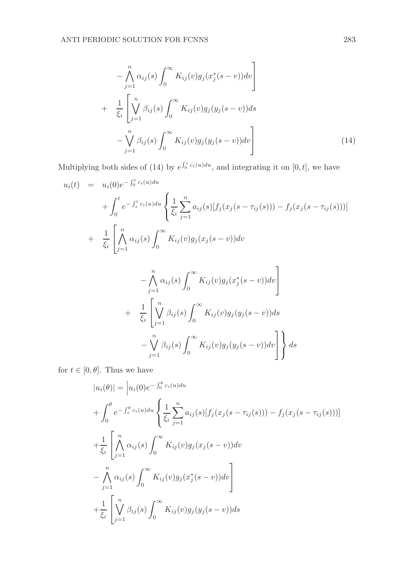$$
-\bigwedge_{j=1}^{n} \alpha_{ij}(s) \int_{0}^{\infty} K_{ij}(v) g_j(x_j^*(s-v)) dv \bigg]
$$
  
+ 
$$
\frac{1}{\xi_i} \left[ \bigvee_{j=1}^{n} \beta_{ij}(s) \int_{0}^{\infty} K_{ij}(v) g_j(y_j(s-v)) ds - \bigvee_{j=1}^{n} \beta_{ij}(s) \int_{0}^{\infty} K_{ij}(v) g_j(y_j(s-v)) dv \right]
$$
 (14)

Multiplying both sides of (14) by  $e^{\int_0^s c_i(u)du}$ , and integrating it on [0, t], we have

$$
u_i(t) = u_i(0)e^{-\int_0^t c_i(u)du} \left\{ \frac{1}{\xi_i} \sum_{j=1}^n a_{ij}(s)[f_j(x_j(s - \tau_{ij}(s))) - f_j(x_j(s - \tau_{ij}(s)))] \right\}
$$
  
+ 
$$
\frac{1}{\xi_i} \left[ \bigwedge_{j=1}^n \alpha_{ij}(s) \int_0^\infty K_{ij}(v)g_j(x_j(s - v))dv - \bigwedge_{j=1}^n \alpha_{ij}(s) \int_0^\infty K_{ij}(v)g_j(x_j^*(s - v))dv \right]
$$
  
+ 
$$
\frac{1}{\xi_i} \left[ \bigvee_{j=1}^n \beta_{ij}(s) \int_0^\infty K_{ij}(v)g_j(y_j(s - v))ds - \bigvee_{j=1}^n \beta_{ij}(s) \int_0^\infty K_{ij}(v)g_j(y_j(s - v))dv \right] ds
$$

for  $t \in [0, \theta]$ . Thus we have

$$
|u_i(\theta)| = |u_i(0)e^{-\int_0^{\theta} c_i(u)du} + \int_0^{\theta} e^{-\int_s^{\theta} c_i(u)du} \left\{ \frac{1}{\xi_i} \sum_{j=1}^n a_{ij}(s) [f_j(x_j(s - \tau_{ij}(s))) - f_j(x_j(s - \tau_{ij}(s)))] + \frac{1}{\xi_i} \left[ \bigwedge_{j=1}^n \alpha_{ij}(s) \int_0^{\infty} K_{ij}(v) g_j(x_j(s - v)) dv \right. \\ - \bigwedge_{j=1}^n \alpha_{ij}(s) \int_0^{\infty} K_{ij}(v) g_j(x_j^*(s - v)) dv \right] + \frac{1}{\xi_i} \left[ \bigvee_{j=1}^n \beta_{ij}(s) \int_0^{\infty} K_{ij}(v) g_j(y_j(s - v)) ds \right]
$$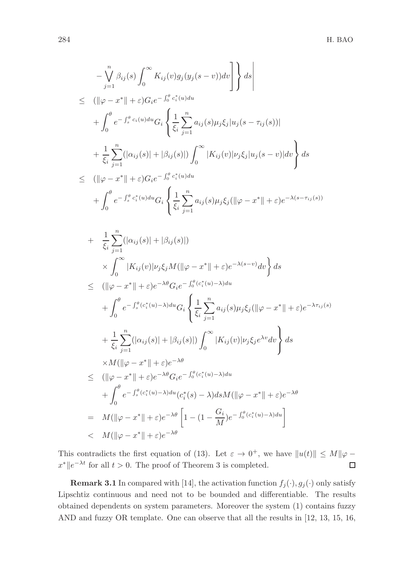$$
-\bigvee_{j=1}^{n} \beta_{ij}(s) \int_{0}^{\infty} K_{ij}(v) g_{j}(y_{j}(s-v)) dv \bigg] \Bigg\} ds \bigg|
$$
  
\n
$$
\leq (||\varphi - x^{*}|| + \varepsilon) G_{i} e^{-\int_{0}^{b} c_{i}^{*}(u) du} + \int_{0}^{b} e^{-\int_{s}^{b} c_{i}(u) du} G_{i} \Bigg\{ \frac{1}{\xi_{i}} \sum_{j=1}^{n} a_{ij}(s) \mu_{j} \xi_{j} |u_{j}(s-\tau_{ij}(s))| + \frac{1}{\xi_{i}} \sum_{j=1}^{n} (|\alpha_{ij}(s)| + |\beta_{ij}(s)|) \int_{0}^{\infty} |K_{ij}(v)| \nu_{j} \xi_{j} |u_{j}(s-v)| dv \Bigg\} ds
$$
  
\n
$$
\leq (||\varphi - x^{*}|| + \varepsilon) G_{i} e^{-\int_{0}^{b} c_{i}^{*}(u) du} + \int_{0}^{b} e^{-\int_{s}^{b} c_{i}^{*}(u) du} G_{i} \Bigg\{ \frac{1}{\xi_{i}} \sum_{j=1}^{n} a_{ij}(s) \mu_{j} \xi_{j} (||\varphi - x^{*}|| + \varepsilon) e^{-\lambda(s-\tau_{ij}(s))}
$$
  
\n
$$
+ \frac{1}{\xi_{i}} \sum_{j=1}^{n} (|\alpha_{ij}(s)| + |\beta_{ij}(s)|)
$$
  
\n
$$
\times \int_{0}^{\infty} |K_{ij}(v)| \nu_{j} \xi_{j} M (||\varphi - x^{*}|| + \varepsilon) e^{-\lambda(s-v)} dv \Bigg\} ds
$$
  
\n
$$
\leq (||\varphi - x^{*}|| + \varepsilon) e^{-\lambda \theta} G_{i} e^{-\int_{0}^{b} (c_{i}^{*}(u) - \lambda) du} + \int_{0}^{b} e^{-\int_{s}^{a} (c_{i}^{*}(u) - \lambda) du} G_{i} \Bigg\{ \frac{1}{\xi_{i}} \sum_{j=1}^{n} a_{ij}(s) \mu_{j} \xi_{j} (||\varphi - x^{*}|| + \varepsilon) e^{-\lambda \tau_{ij}(s)} + \frac{1}{\xi_{i}} \sum_{j=1}^{
$$

This contradicts the first equation of (13). Let  $\varepsilon \to 0^+$ , we have  $||u(t)|| \le M ||\varphi - \varphi||$  $x^* \|e^{-\lambda t}$  for all  $t > 0$ . The proof of Theorem 3 is completed.  $\Box$ 

**Remark 3.1** In compared with [14], the activation function  $f_j(\cdot), g_j(\cdot)$  only satisfy Lipschtiz continuous and need not to be bounded and differentiable. The results obtained dependents on system parameters. Moreover the system (1) contains fuzzy AND and fuzzy OR template. One can observe that all the results in [12, 13, 15, 16,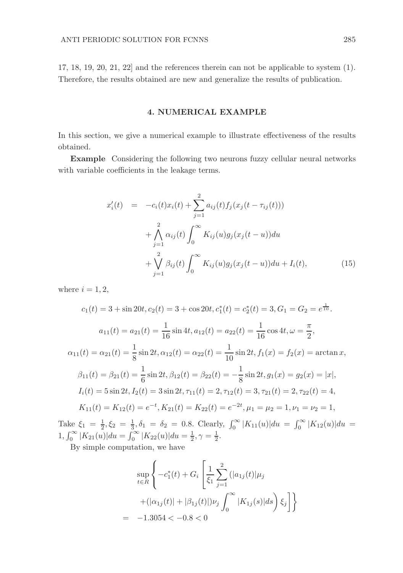17, 18, 19, 20, 21, 22] and the references therein can not be applicable to system (1). Therefore, the results obtained are new and generalize the results of publication.

## 4. NUMERICAL EXAMPLE

In this section, we give a numerical example to illustrate effectiveness of the results obtained.

Example Considering the following two neurons fuzzy cellular neural networks with variable coefficients in the leakage terms.

$$
x'_{i}(t) = -c_{i}(t)x_{i}(t) + \sum_{j=1}^{2} a_{ij}(t)f_{j}(x_{j}(t - \tau_{ij}(t)))
$$
  
+  $\bigwedge_{j=1}^{2} \alpha_{ij}(t) \int_{0}^{\infty} K_{ij}(u)g_{j}(x_{j}(t - u))du$   
+  $\bigvee_{j=1}^{2} \beta_{ij}(t) \int_{0}^{\infty} K_{ij}(u)g_{j}(x_{j}(t - u))du + I_{i}(t),$  (15)

where  $i = 1, 2$ ,

$$
c_1(t) = 3 + \sin 20t, c_2(t) = 3 + \cos 20t, c_1^*(t) = c_2^*(t) = 3, G_1 = G_2 = e^{\frac{1}{10}}.
$$
  
\n
$$
a_{11}(t) = a_{21}(t) = \frac{1}{16} \sin 4t, a_{12}(t) = a_{22}(t) = \frac{1}{16} \cos 4t, \omega = \frac{\pi}{2},
$$
  
\n
$$
\alpha_{11}(t) = \alpha_{21}(t) = \frac{1}{8} \sin 2t, \alpha_{12}(t) = \alpha_{22}(t) = \frac{1}{10} \sin 2t, f_1(\omega) = f_2(\omega) = \arctan \omega,
$$
  
\n
$$
\beta_{11}(t) = \beta_{21}(t) = \frac{1}{6} \sin 2t, \beta_{12}(t) = \beta_{22}(t) = -\frac{1}{8} \sin 2t, g_1(\omega) = g_2(\omega) = |x|,
$$
  
\n
$$
I_i(t) = 5 \sin 2t, I_2(t) = 3 \sin 2t, \tau_{11}(t) = 2, \tau_{12}(t) = 3, \tau_{21}(t) = 2, \tau_{22}(t) = 4,
$$
  
\n
$$
K_{11}(t) = K_{12}(t) = e^{-t}, K_{21}(t) = K_{22}(t) = e^{-2t}, \mu_1 = \mu_2 = 1, \nu_1 = \nu_2 = 1,
$$

Take  $\xi_1 = \frac{1}{2}, \xi_2 = \frac{1}{3}, \delta_1 = \delta_2 = 0.8$ . Clearly,  $\int_0^\infty |K_{11}(u)| du = \int_0^\infty |K_{12}(u)| du =$  $1, \int_0^\infty |K_{21}(u)| du = \int_0^\infty |K_{22}(u)| du = \frac{1}{2}, \gamma = \frac{1}{2}.$ 

By simple computation, we have

$$
\sup_{t \in R} \left\{ -c_1^*(t) + G_i \left[ \frac{1}{\xi_1} \sum_{j=1}^2 (|a_{1j}(t)| \mu_j + (|\alpha_{1j}(t)| + |\beta_{1j}(t)|) \nu_j \int_0^\infty |K_{1j}(s)| ds \right) \xi_j \right] \right\}
$$
  
= -1.3054 < -0.8 < 0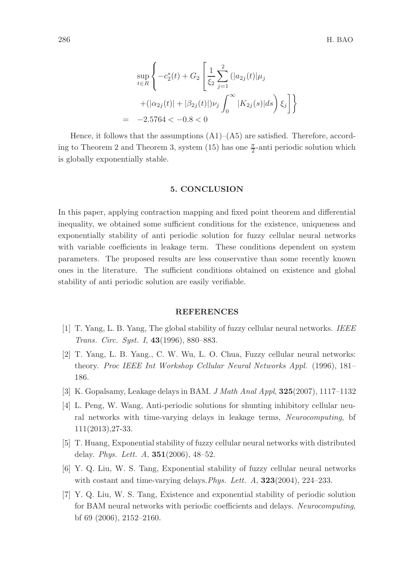$$
\sup_{t \in R} \left\{ -c_2^*(t) + G_2 \left[ \frac{1}{\xi_2} \sum_{j=1}^2 (|a_{2j}(t)| \mu_j + (|\alpha_{2j}(t)| + |\beta_{2j}(t)|) \nu_j \int_0^\infty |K_{2j}(s)| ds \right) \xi_j \right] \right\}
$$
  
= -2.5764 < -0.8 < 0

Hence, it follows that the assumptions  $(A1)$ – $(A5)$  are satisfied. Therefore, according to Theorem 2 and Theorem 3, system (15) has one  $\frac{\pi}{2}$ -anti periodic solution which is globally exponentially stable.

#### 5. CONCLUSION

In this paper, applying contraction mapping and fixed point theorem and differential inequality, we obtained some sufficient conditions for the existence, uniqueness and exponentially stability of anti periodic solution for fuzzy cellular neural networks with variable coefficients in leakage term. These conditions dependent on system parameters. The proposed results are less conservative than some recently known ones in the literature. The sufficient conditions obtained on existence and global stability of anti periodic solution are easily verifiable.

#### REFERENCES

- [1] T. Yang, L. B. Yang, The global stability of fuzzy cellular neural networks. IEEE Trans. Circ. Syst. I, 43(1996), 880–883.
- [2] T. Yang, L. B. Yang., C. W. Wu, L. O. Chua, Fuzzy cellular neural networks: theory. Proc IEEE Int Workshop Cellular Neural Networks Appl. (1996), 181– 186.
- [3] K. Gopalsamy, Leakage delays in BAM. J Math Anal Appl, 325(2007), 1117–1132
- [4] L. Peng, W. Wang, Anti-periodic solutions for shunting inhibitory cellular neural networks with time-varying delays in leakage terms, Neurocomputing, bf 111(2013),27-33.
- [5] T. Huang, Exponential stability of fuzzy cellular neural networks with distributed delay. Phys. Lett. A, 351(2006), 48–52.
- [6] Y. Q. Liu, W. S. Tang, Exponential stability of fuzzy cellular neural networks with costant and time-varying delays. Phys. Lett. A,  $323(2004)$ ,  $224-233$ .
- [7] Y. Q. Liu, W. S. Tang, Existence and exponential stability of periodic solution for BAM neural networks with periodic coefficients and delays. Neurocomputing, bf 69 (2006), 2152–2160.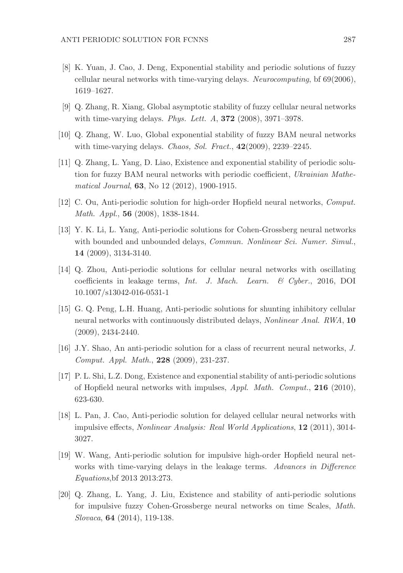- [8] K. Yuan, J. Cao, J. Deng, Exponential stability and periodic solutions of fuzzy cellular neural networks with time-varying delays. Neurocomputing, bf 69(2006), 1619–1627.
- [9] Q. Zhang, R. Xiang, Global asymptotic stability of fuzzy cellular neural networks with time-varying delays. *Phys. Lett. A*,  $372$  (2008),  $3971-3978$ .
- [10] Q. Zhang, W. Luo, Global exponential stability of fuzzy BAM neural networks with time-varying delays. *Chaos, Sol. Fract.*, 42(2009), 2239–2245.
- [11] Q. Zhang, L. Yang, D. Liao, Existence and exponential stability of periodic solution for fuzzy BAM neural networks with periodic coefficient, Ukrainian Mathematical Journal, 63, No 12 (2012), 1900-1915.
- [12] C. Ou, Anti-periodic solution for high-order Hopfield neural networks, Comput. Math. Appl., 56 (2008), 1838-1844.
- [13] Y. K. Li, L. Yang, Anti-periodic solutions for Cohen-Grossberg neural networks with bounded and unbounded delays, Commun. Nonlinear Sci. Numer. Simul., 14 (2009), 3134-3140.
- [14] Q. Zhou, Anti-periodic solutions for cellular neural networks with oscillating coefficients in leakage terms, Int. J. Mach. Learn. & Cyber., 2016, DOI 10.1007/s13042-016-0531-1
- [15] G. Q. Peng, L.H. Huang, Anti-periodic solutions for shunting inhibitory cellular neural networks with continuously distributed delays, Nonlinear Anal. RWA, 10 (2009), 2434-2440.
- [16] J.Y. Shao, An anti-periodic solution for a class of recurrent neural networks, J. Comput. Appl. Math., 228 (2009), 231-237.
- [17] P. L. Shi, L.Z. Dong, Existence and exponential stability of anti-periodic solutions of Hopfield neural networks with impulses, Appl. Math. Comput., 216 (2010), 623-630.
- [18] L. Pan, J. Cao, Anti-periodic solution for delayed cellular neural networks with impulsive effects, Nonlinear Analysis: Real World Applications, 12 (2011), 3014- 3027.
- [19] W. Wang, Anti-periodic solution for impulsive high-order Hopfield neural networks with time-varying delays in the leakage terms. Advances in Difference Equations,bf 2013 2013:273.
- [20] Q. Zhang, L. Yang, J. Liu, Existence and stability of anti-periodic solutions for impulsive fuzzy Cohen-Grossberge neural networks on time Scales, Math. Slovaca, 64 (2014), 119-138.